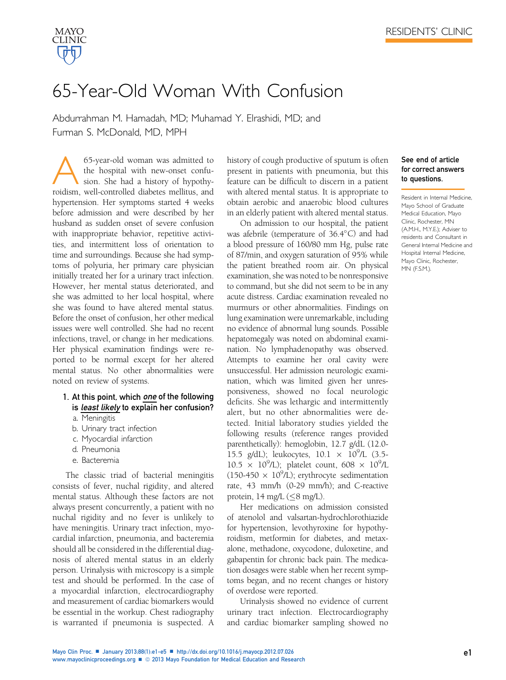MAYO **CLINIC** ர்π

# 65-Year-Old Woman With Confusion

Abdurrahman M. Hamadah, MD; Muhamad Y. Elrashidi, MD; and Furman S. McDonald, MD, MPH

65-year-old woman was admitted to the hospital with new-onset confusion. She had a history of hypothy-roidism, well-controlled diabetes mellitus, and the hospital with new-onset confusion. She had a history of hypothyhypertension. Her symptoms started 4 weeks before admission and were described by her husband as sudden onset of severe confusion with inappropriate behavior, repetitive activities, and intermittent loss of orientation to time and surroundings. Because she had symptoms of polyuria, her primary care physician initially treated her for a urinary tract infection. However, her mental status deteriorated, and she was admitted to her local hospital, where she was found to have altered mental status. Before the onset of confusion, her other medical issues were well controlled. She had no recent infections, travel, or change in her medications. Her physical examination findings were reported to be normal except for her altered mental status. No other abnormalities were noted on review of systems.

- 1. At this point, which one of the following is least likely to explain her confusion?
	- a. Meningitis
	- b. Urinary tract infection
	- c. Myocardial infarction
	- d. Pneumonia
	- e. Bacteremia

The classic triad of bacterial meningitis consists of fever, nuchal rigidity, and altered mental status. Although these factors are not always present concurrently, a patient with no nuchal rigidity and no fever is unlikely to have meningitis. Urinary tract infection, myocardial infarction, pneumonia, and bacteremia should all be considered in the differential diagnosis of altered mental status in an elderly person. Urinalysis with microscopy is a simple test and should be performed. In the case of a myocardial infarction, electrocardiography and measurement of cardiac biomarkers would be essential in the workup. Chest radiography is warranted if pneumonia is suspected. A

history of cough productive of sputum is often present in patients with pneumonia, but this feature can be difficult to discern in a patient with altered mental status. It is appropriate to obtain aerobic and anaerobic blood cultures in an elderly patient with altered mental status.

On admission to our hospital, the patient was afebrile (temperature of  $36.4^{\circ}$ C) and had a blood pressure of 160/80 mm Hg, pulse rate of 87/min, and oxygen saturation of 95% while the patient breathed room air. On physical examination, she was noted to be nonresponsive to command, but she did not seem to be in any acute distress. Cardiac examination revealed no murmurs or other abnormalities. Findings on lung examination were unremarkable, including no evidence of abnormal lung sounds. Possible hepatomegaly was noted on abdominal examination. No lymphadenopathy was observed. Attempts to examine her oral cavity were unsuccessful. Her admission neurologic examination, which was limited given her unresponsiveness, showed no focal neurologic deficits. She was lethargic and intermittently alert, but no other abnormalities were detected. Initial laboratory studies yielded the following results (reference ranges provided parenthetically): hemoglobin, 12.7 g/dL (12.0- 15.5 g/dL); leukocytes,  $10.1 \times 10^{9}$ /L (3.5- $10.5 \times 10^9$ /L); platelet count,  $608 \times 10^9$ /L  $(150-450 \times 10^{9} \text{L})$ ; erythrocyte sedimentation rate, 43 mm/h (0-29 mm/h); and C-reactive protein,  $14 \text{ mg/L} (\leq 8 \text{ mg/L})$ .

Her medications on admission consisted of atenolol and valsartan-hydrochlorothiazide for hypertension, levothyroxine for hypothyroidism, metformin for diabetes, and metaxalone, methadone, oxycodone, duloxetine, and gabapentin for chronic back pain. The medication dosages were stable when her recent symptoms began, and no recent changes or history of overdose were reported.

Urinalysis showed no evidence of current urinary tract infection. Electrocardiography and cardiac biomarker sampling showed no

## See end of article for correct answers to questions.

Resident in Internal Medicine, Mayo School of Graduate Medical Education, Mayo Clinic, Rochester, MN (A.M.H., M.Y.E.); Adviser to residents and Consultant in General Internal Medicine and Hospital Internal Medicine, Mayo Clinic, Rochester, MN (F.S.M.).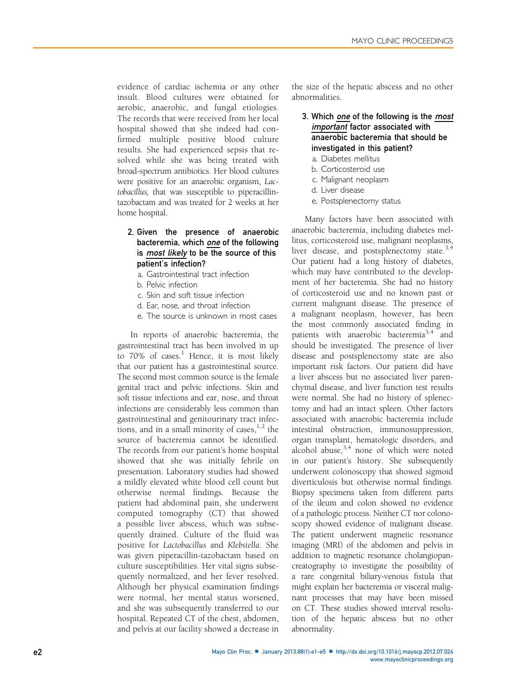evidence of cardiac ischemia or any other insult. Blood cultures were obtained for aerobic, anaerobic, and fungal etiologies. The records that were received from her local hospital showed that she indeed had confirmed multiple positive blood culture results. She had experienced sepsis that resolved while she was being treated with broad-spectrum antibiotics. Her blood cultures were positive for an anaerobic organism, Lactobacillus, that was susceptible to piperacillintazobactam and was treated for 2 weeks at her home hospital.

# 2. Given the presence of anaerobic bacteremia, which one of the following is most likely to be the source of this patient's infection?

- a. Gastrointestinal tract infection
- b. Pelvic infection
- c. Skin and soft tissue infection
- d. Ear, nose, and throat infection
- e. The source is unknown in most cases

In reports of anaerobic bacteremia, the gastrointestinal tract has been involved in up to  $70\%$  of cases.<sup>[1](#page-3-0)</sup> Hence, it is most likely that our patient has a gastrointestinal source. The second most common source is the female genital tract and pelvic infections. Skin and soft tissue infections and ear, nose, and throat infections are considerably less common than gastrointestinal and genitourinary tract infections, and in a small minority of cases, $1,2$  the source of bacteremia cannot be identified. The records from our patient's home hospital showed that she was initially febrile on presentation. Laboratory studies had showed a mildly elevated white blood cell count but otherwise normal findings. Because the patient had abdominal pain, she underwent computed tomography (CT) that showed a possible liver abscess, which was subsequently drained. Culture of the fluid was positive for Lactobacillus and Klebsiella. She was given piperacillin-tazobactam based on culture susceptibilities. Her vital signs subsequently normalized, and her fever resolved. Although her physical examination findings were normal, her mental status worsened, and she was subsequently transferred to our hospital. Repeated CT of the chest, abdomen, and pelvis at our facility showed a decrease in the size of the hepatic abscess and no other abnormalities.

# 3. Which one of the following is the most important factor associated with anaerobic bacteremia that should be investigated in this patient?

- a. Diabetes mellitus
- b. Corticosteroid use
- c. Malignant neoplasm
- d. Liver disease
- e. Postsplenectomy status

Many factors have been associated with anaerobic bacteremia, including diabetes mellitus, corticosteroid use, malignant neoplasms, liver disease, and postsplenectomy state. $3,4$ Our patient had a long history of diabetes, which may have contributed to the development of her bacteremia. She had no history of corticosteroid use and no known past or current malignant disease. The presence of a malignant neoplasm, however, has been the most commonly associated finding in patients with anaerobic bacteremia<sup>[3,4](#page-3-0)</sup> and should be investigated. The presence of liver disease and postsplenectomy state are also important risk factors. Our patient did have a liver abscess but no associated liver parenchymal disease, and liver function test results were normal. She had no history of splenectomy and had an intact spleen. Other factors associated with anaerobic bacteremia include intestinal obstruction, immunosuppression, organ transplant, hematologic disorders, and alcohol abuse,  $3,4$  none of which were noted in our patient's history. She subsequently underwent colonoscopy that showed sigmoid diverticulosis but otherwise normal findings. Biopsy specimens taken from different parts of the ileum and colon showed no evidence of a pathologic process. Neither CT nor colonoscopy showed evidence of malignant disease. The patient underwent magnetic resonance imaging (MRI) of the abdomen and pelvis in addition to magnetic resonance cholangiopancreatography to investigate the possibility of a rare congenital biliary-venous fistula that might explain her bacteremia or visceral malignant processes that may have been missed on CT. These studies showed interval resolution of the hepatic abscess but no other abnormality.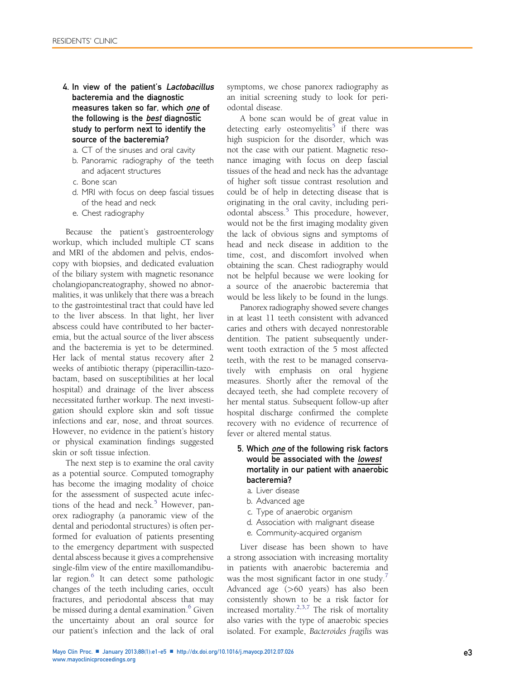- 4. In view of the patient's Lactobacillus bacteremia and the diagnostic measures taken so far, which one of the following is the best diagnostic study to perform next to identify the source of the bacteremia?
	- a. CT of the sinuses and oral cavity
	- b. Panoramic radiography of the teeth and adjacent structures
	- c. Bone scan
	- d. MRI with focus on deep fascial tissues of the head and neck
	- e. Chest radiography

Because the patient's gastroenterology workup, which included multiple CT scans and MRI of the abdomen and pelvis, endoscopy with biopsies, and dedicated evaluation of the biliary system with magnetic resonance cholangiopancreatography, showed no abnormalities, it was unlikely that there was a breach to the gastrointestinal tract that could have led to the liver abscess. In that light, her liver abscess could have contributed to her bacteremia, but the actual source of the liver abscess and the bacteremia is yet to be determined. Her lack of mental status recovery after 2 weeks of antibiotic therapy (piperacillin-tazobactam, based on susceptibilities at her local hospital) and drainage of the liver abscess necessitated further workup. The next investigation should explore skin and soft tissue infections and ear, nose, and throat sources. However, no evidence in the patient's history or physical examination findings suggested skin or soft tissue infection.

The next step is to examine the oral cavity as a potential source. Computed tomography has become the imaging modality of choice for the assessment of suspected acute infections of the head and neck. $5$  However, panorex radiography (a panoramic view of the dental and periodontal structures) is often performed for evaluation of patients presenting to the emergency department with suspected dental abscess because it gives a comprehensive single-film view of the entire maxillomandibular region. $6$  It can detect some pathologic changes of the teeth including caries, occult fractures, and periodontal abscess that may be missed during a dental examination.<sup>[6](#page-4-0)</sup> Given the uncertainty about an oral source for our patient's infection and the lack of oral

symptoms, we chose panorex radiography as an initial screening study to look for periodontal disease.

A bone scan would be of great value in detecting early osteomyelitis<sup>[5](#page-3-0)</sup> if there was high suspicion for the disorder, which was not the case with our patient. Magnetic resonance imaging with focus on deep fascial tissues of the head and neck has the advantage of higher soft tissue contrast resolution and could be of help in detecting disease that is originating in the oral cavity, including peri-odontal abscess.<sup>[5](#page-3-0)</sup> This procedure, however, would not be the first imaging modality given the lack of obvious signs and symptoms of head and neck disease in addition to the time, cost, and discomfort involved when obtaining the scan. Chest radiography would not be helpful because we were looking for a source of the anaerobic bacteremia that would be less likely to be found in the lungs.

Panorex radiography showed severe changes in at least 11 teeth consistent with advanced caries and others with decayed nonrestorable dentition. The patient subsequently underwent tooth extraction of the 5 most affected teeth, with the rest to be managed conservatively with emphasis on oral hygiene measures. Shortly after the removal of the decayed teeth, she had complete recovery of her mental status. Subsequent follow-up after hospital discharge confirmed the complete recovery with no evidence of recurrence of fever or altered mental status.

- 5. Which one of the following risk factors would be associated with the lowest mortality in our patient with anaerobic bacteremia?
	- a. Liver disease
	- b. Advanced age
	- c. Type of anaerobic organism
	- d. Association with malignant disease
	- e. Community-acquired organism

Liver disease has been shown to have a strong association with increasing mortality in patients with anaerobic bacteremia and was the most significant factor in one study.<sup>[7](#page-4-0)</sup> Advanced age (>60 years) has also been consistently shown to be a risk factor for increased mortality.<sup>[2,3,7](#page-3-0)</sup> The risk of mortality also varies with the type of anaerobic species isolated. For example, Bacteroides fragilis was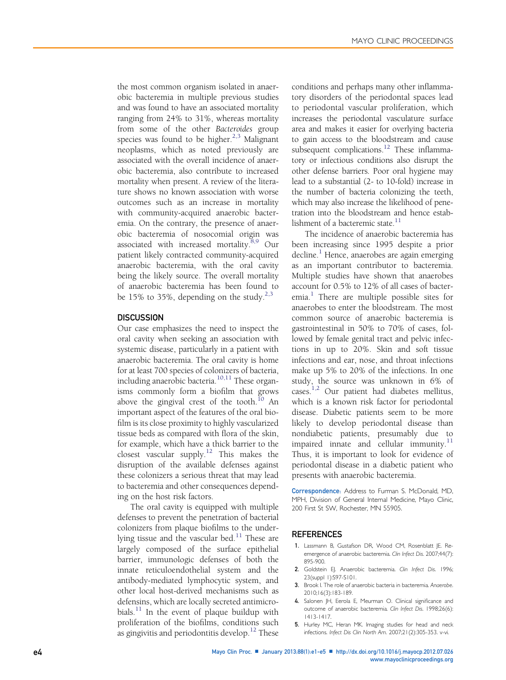<span id="page-3-0"></span>the most common organism isolated in anaerobic bacteremia in multiple previous studies and was found to have an associated mortality ranging from 24% to 31%, whereas mortality from some of the other Bacteroides group species was found to be higher. $2,3$  Malignant neoplasms, which as noted previously are associated with the overall incidence of anaerobic bacteremia, also contribute to increased mortality when present. A review of the literature shows no known association with worse outcomes such as an increase in mortality with community-acquired anaerobic bacteremia. On the contrary, the presence of anaerobic bacteremia of nosocomial origin was associated with increased mortality. $8,9$  Our patient likely contracted community-acquired anaerobic bacteremia, with the oral cavity being the likely source. The overall mortality of anaerobic bacteremia has been found to be 15% to 35%, depending on the study.<sup>2,3</sup>

## **DISCUSSION**

Our case emphasizes the need to inspect the oral cavity when seeking an association with systemic disease, particularly in a patient with anaerobic bacteremia. The oral cavity is home for at least 700 species of colonizers of bacteria, including anaerobic bacteria.<sup>[10,11](#page-4-0)</sup> These organisms commonly form a biofilm that grows above the gingival crest of the tooth. $10$  An important aspect of the features of the oral biofilm is its close proximity to highly vascularized tissue beds as compared with flora of the skin, for example, which have a thick barrier to the closest vascular supply.[12](#page-4-0) This makes the disruption of the available defenses against these colonizers a serious threat that may lead to bacteremia and other consequences depending on the host risk factors.

The oral cavity is equipped with multiple defenses to prevent the penetration of bacterial colonizers from plaque biofilms to the underlying tissue and the vascular bed. $^{11}$  $^{11}$  $^{11}$  These are largely composed of the surface epithelial barrier, immunologic defenses of both the innate reticuloendothelial system and the antibody-mediated lymphocytic system, and other local host-derived mechanisms such as defensins, which are locally secreted antimicrobials. $^{11}$  $^{11}$  $^{11}$  In the event of plaque buildup with proliferation of the biofilms, conditions such as gingivitis and periodontitis develop. $12$  These

conditions and perhaps many other inflammatory disorders of the periodontal spaces lead to periodontal vascular proliferation, which increases the periodontal vasculature surface area and makes it easier for overlying bacteria to gain access to the bloodstream and cause subsequent complications.<sup>12</sup> These inflammatory or infectious conditions also disrupt the other defense barriers. Poor oral hygiene may lead to a substantial (2- to 10-fold) increase in the number of bacteria colonizing the teeth, which may also increase the likelihood of penetration into the bloodstream and hence establishment of a bacteremic state.<sup>11</sup>

The incidence of anaerobic bacteremia has been increasing since 1995 despite a prior decline.<sup>1</sup> Hence, anaerobes are again emerging as an important contributor to bacteremia. Multiple studies have shown that anaerobes account for 0.5% to 12% of all cases of bacteremia.<sup>1</sup> There are multiple possible sites for anaerobes to enter the bloodstream. The most common source of anaerobic bacteremia is gastrointestinal in 50% to 70% of cases, followed by female genital tract and pelvic infections in up to 20%. Skin and soft tissue infections and ear, nose, and throat infections make up 5% to 20% of the infections. In one study, the source was unknown in 6% of cases.<sup>1,2</sup> Our patient had diabetes mellitus, which is a known risk factor for periodontal disease. Diabetic patients seem to be more likely to develop periodontal disease than nondiabetic patients, presumably due to impaired innate and cellular immunity.<sup>[11](#page-4-0)</sup> Thus, it is important to look for evidence of periodontal disease in a diabetic patient who presents with anaerobic bacteremia.

Correspondence: Address to Furman S. McDonald, MD, MPH, Division of General Internal Medicine, Mayo Clinic, 200 First St SW, Rochester, MN 55905.

#### REFERENCES

- 1. Lassmann B, Gustafson DR, Wood CM, Rosenblatt JE. Reemergence of anaerobic bacteremia. Clin Infect Dis. 2007;44(7): 895-900.
- 2. Goldstein El. Anaerobic bacteremia. Clin Infect Dis. 1996; 23(suppl 1):S97-S101.
- 3. Brook I. The role of anaerobic bacteria in bacteremia. Anaerobe. 2010;16(3):183-189.
- 4. Salonen JH, Eerola E, Meurman O. Clinical significance and outcome of anaerobic bacteremia. Clin Infect Dis. 1998;26(6): 1413-1417.
- 5. Hurley MC, Heran MK. Imaging studies for head and neck infections. Infect Dis Clin North Am. 2007;21(2):305-353. v-vi.